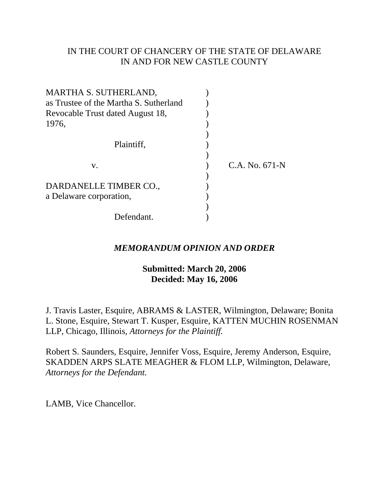# IN THE COURT OF CHANCERY OF THE STATE OF DELAWARE IN AND FOR NEW CASTLE COUNTY

| MARTHA S. SUTHERLAND,                  |                  |
|----------------------------------------|------------------|
| as Trustee of the Martha S. Sutherland |                  |
| Revocable Trust dated August 18,       |                  |
| 1976,                                  |                  |
|                                        |                  |
| Plaintiff.                             |                  |
|                                        |                  |
| V.                                     | $C.A. No. 671-N$ |
|                                        |                  |
| DARDANELLE TIMBER CO.,                 |                  |
| a Delaware corporation,                |                  |
|                                        |                  |
| Defendant.                             |                  |

# *MEMORANDUM OPINION AND ORDER*

# **Submitted: March 20, 2006 Decided: May 16, 2006**

J. Travis Laster, Esquire, ABRAMS & LASTER, Wilmington, Delaware; Bonita L. Stone, Esquire, Stewart T. Kusper, Esquire, KATTEN MUCHIN ROSENMAN LLP, Chicago, Illinois, *Attorneys for the Plaintiff.*

Robert S. Saunders, Esquire, Jennifer Voss, Esquire, Jeremy Anderson, Esquire, SKADDEN ARPS SLATE MEAGHER & FLOM LLP, Wilmington, Delaware, *Attorneys for the Defendant.*

LAMB, Vice Chancellor.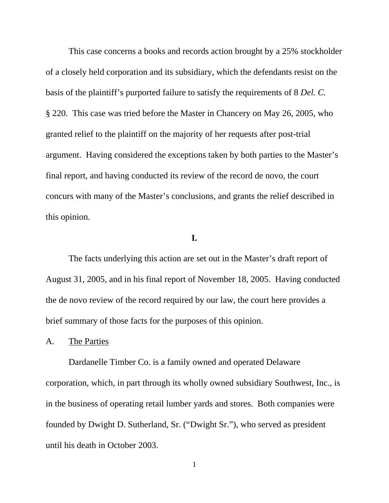This case concerns a books and records action brought by a 25% stockholder of a closely held corporation and its subsidiary, which the defendants resist on the basis of the plaintiff's purported failure to satisfy the requirements of 8 *Del. C.*  § 220. This case was tried before the Master in Chancery on May 26, 2005, who granted relief to the plaintiff on the majority of her requests after post-trial argument. Having considered the exceptions taken by both parties to the Master's final report, and having conducted its review of the record de novo, the court concurs with many of the Master's conclusions, and grants the relief described in this opinion.

## **I.**

The facts underlying this action are set out in the Master's draft report of August 31, 2005, and in his final report of November 18, 2005. Having conducted the de novo review of the record required by our law, the court here provides a brief summary of those facts for the purposes of this opinion.

#### A. The Parties

Dardanelle Timber Co. is a family owned and operated Delaware corporation, which, in part through its wholly owned subsidiary Southwest, Inc., is in the business of operating retail lumber yards and stores. Both companies were founded by Dwight D. Sutherland, Sr. ("Dwight Sr."), who served as president until his death in October 2003.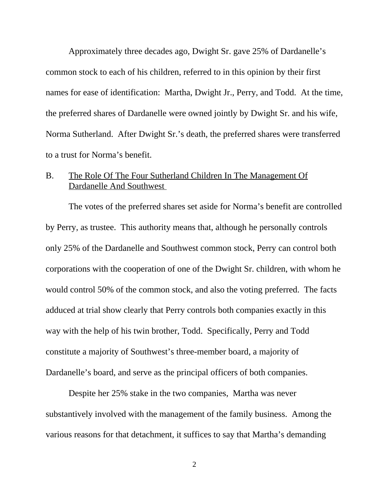Approximately three decades ago, Dwight Sr. gave 25% of Dardanelle's common stock to each of his children, referred to in this opinion by their first names for ease of identification: Martha, Dwight Jr., Perry, and Todd. At the time, the preferred shares of Dardanelle were owned jointly by Dwight Sr. and his wife, Norma Sutherland. After Dwight Sr.'s death, the preferred shares were transferred to a trust for Norma's benefit.

# B. The Role Of The Four Sutherland Children In The Management Of Dardanelle And Southwest

The votes of the preferred shares set aside for Norma's benefit are controlled by Perry, as trustee. This authority means that, although he personally controls only 25% of the Dardanelle and Southwest common stock, Perry can control both corporations with the cooperation of one of the Dwight Sr. children, with whom he would control 50% of the common stock, and also the voting preferred. The facts adduced at trial show clearly that Perry controls both companies exactly in this way with the help of his twin brother, Todd. Specifically, Perry and Todd constitute a majority of Southwest's three-member board, a majority of Dardanelle's board, and serve as the principal officers of both companies.

Despite her 25% stake in the two companies, Martha was never substantively involved with the management of the family business. Among the various reasons for that detachment, it suffices to say that Martha's demanding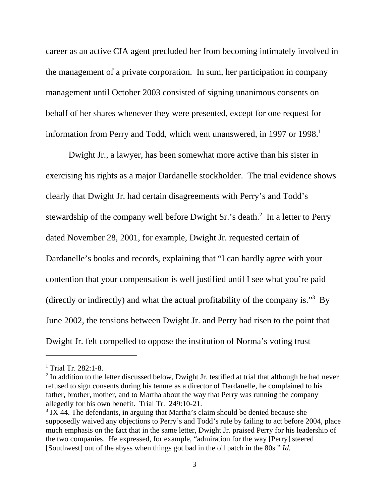career as an active CIA agent precluded her from becoming intimately involved in the management of a private corporation. In sum, her participation in company management until October 2003 consisted of signing unanimous consents on behalf of her shares whenever they were presented, except for one request for information from Perry and Todd, which went unanswered, in 1997 or 1998.<sup>1</sup>

Dwight Jr., a lawyer, has been somewhat more active than his sister in exercising his rights as a major Dardanelle stockholder. The trial evidence shows clearly that Dwight Jr. had certain disagreements with Perry's and Todd's stewardship of the company well before Dwight Sr.'s death. $2 \text{ In a letter to Perry}$ dated November 28, 2001, for example, Dwight Jr. requested certain of Dardanelle's books and records, explaining that "I can hardly agree with your contention that your compensation is well justified until I see what you're paid (directly or indirectly) and what the actual profitability of the company is."<sup>3</sup> By June 2002, the tensions between Dwight Jr. and Perry had risen to the point that Dwight Jr. felt compelled to oppose the institution of Norma's voting trust

<sup>&</sup>lt;sup>1</sup> Trial Tr. 282:1-8.

 $2$  In addition to the letter discussed below, Dwight Jr. testified at trial that although he had never refused to sign consents during his tenure as a director of Dardanelle, he complained to his father, brother, mother, and to Martha about the way that Perry was running the company allegedly for his own benefit. Trial Tr. 249:10-21.

 $3$  JX 44. The defendants, in arguing that Martha's claim should be denied because she supposedly waived any objections to Perry's and Todd's rule by failing to act before 2004, place much emphasis on the fact that in the same letter, Dwight Jr. praised Perry for his leadership of the two companies. He expressed, for example, "admiration for the way [Perry] steered [Southwest] out of the abyss when things got bad in the oil patch in the 80s." *Id.*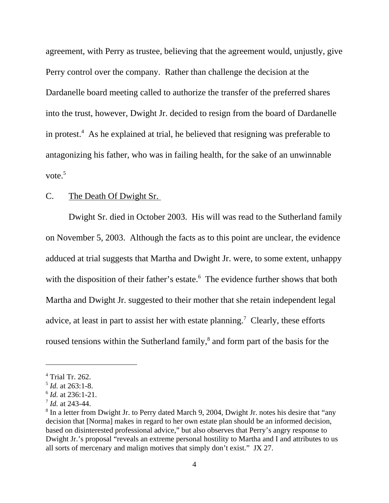agreement, with Perry as trustee, believing that the agreement would, unjustly, give Perry control over the company. Rather than challenge the decision at the Dardanelle board meeting called to authorize the transfer of the preferred shares into the trust, however, Dwight Jr. decided to resign from the board of Dardanelle in protest.<sup>4</sup> As he explained at trial, he believed that resigning was preferable to antagonizing his father, who was in failing health, for the sake of an unwinnable vote. $5$ 

## C. The Death Of Dwight Sr.

Dwight Sr. died in October 2003. His will was read to the Sutherland family on November 5, 2003. Although the facts as to this point are unclear, the evidence adduced at trial suggests that Martha and Dwight Jr. were, to some extent, unhappy with the disposition of their father's estate.<sup>6</sup> The evidence further shows that both Martha and Dwight Jr. suggested to their mother that she retain independent legal advice, at least in part to assist her with estate planning.<sup>7</sup> Clearly, these efforts roused tensions within the Sutherland family,<sup>8</sup> and form part of the basis for the

<sup>4</sup> Trial Tr. 262.

<sup>5</sup> *Id.* at 263:1-8.

<sup>6</sup> *Id.* at 236:1-21.

<sup>7</sup> *Id.* at 243-44.

<sup>&</sup>lt;sup>8</sup> In a letter from Dwight Jr. to Perry dated March 9, 2004, Dwight Jr. notes his desire that "any decision that [Norma] makes in regard to her own estate plan should be an informed decision, based on disinterested professional advice," but also observes that Perry's angry response to Dwight Jr.'s proposal "reveals an extreme personal hostility to Martha and I and attributes to us all sorts of mercenary and malign motives that simply don't exist." JX 27.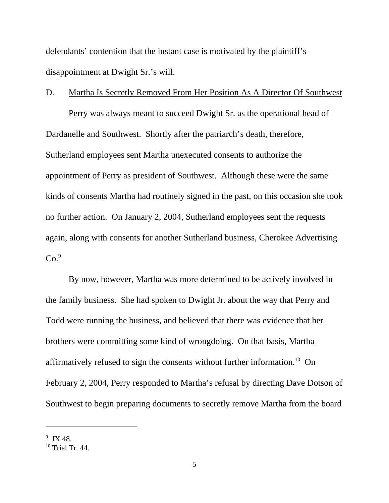defendants' contention that the instant case is motivated by the plaintiff's disappointment at Dwight Sr.'s will.

## D. Martha Is Secretly Removed From Her Position As A Director Of Southwest

Perry was always meant to succeed Dwight Sr. as the operational head of Dardanelle and Southwest. Shortly after the patriarch's death, therefore, Sutherland employees sent Martha unexecuted consents to authorize the appointment of Perry as president of Southwest. Although these were the same kinds of consents Martha had routinely signed in the past, on this occasion she took no further action. On January 2, 2004, Sutherland employees sent the requests again, along with consents for another Sutherland business, Cherokee Advertising  $Co.<sup>9</sup>$ 

By now, however, Martha was more determined to be actively involved in the family business. She had spoken to Dwight Jr. about the way that Perry and Todd were running the business, and believed that there was evidence that her brothers were committing some kind of wrongdoing. On that basis, Martha affirmatively refused to sign the consents without further information.10 On February 2, 2004, Perry responded to Martha's refusal by directing Dave Dotson of Southwest to begin preparing documents to secretly remove Martha from the board

 $9$  JX 48.

 $10$  Trial Tr. 44.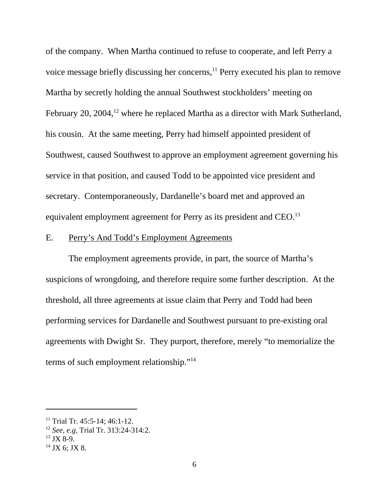of the company. When Martha continued to refuse to cooperate, and left Perry a voice message briefly discussing her concerns,<sup>11</sup> Perry executed his plan to remove Martha by secretly holding the annual Southwest stockholders' meeting on February 20, 2004,<sup>12</sup> where he replaced Martha as a director with Mark Sutherland, his cousin. At the same meeting, Perry had himself appointed president of Southwest, caused Southwest to approve an employment agreement governing his service in that position, and caused Todd to be appointed vice president and secretary. Contemporaneously, Dardanelle's board met and approved an equivalent employment agreement for Perry as its president and CEO.<sup>13</sup>

## E. Perry's And Todd's Employment Agreements

The employment agreements provide, in part, the source of Martha's suspicions of wrongdoing, and therefore require some further description. At the threshold, all three agreements at issue claim that Perry and Todd had been performing services for Dardanelle and Southwest pursuant to pre-existing oral agreements with Dwight Sr. They purport, therefore, merely "to memorialize the terms of such employment relationship."14

<sup>&</sup>lt;sup>11</sup> Trial Tr. 45:5-14; 46:1-12.

<sup>12</sup> *See, e.g,* Trial Tr. 313:24-314:2.

 $13$  JX 8-9.

 $14$  JX 6; JX 8.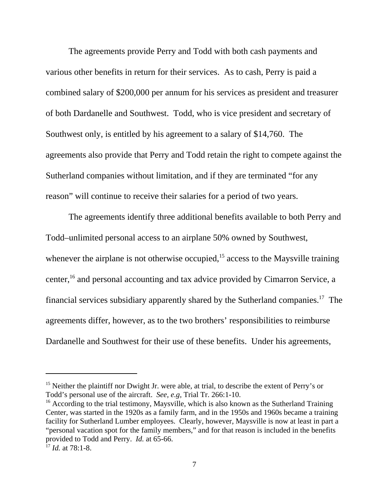The agreements provide Perry and Todd with both cash payments and various other benefits in return for their services. As to cash, Perry is paid a combined salary of \$200,000 per annum for his services as president and treasurer of both Dardanelle and Southwest. Todd, who is vice president and secretary of Southwest only, is entitled by his agreement to a salary of \$14,760. The agreements also provide that Perry and Todd retain the right to compete against the Sutherland companies without limitation, and if they are terminated "for any reason" will continue to receive their salaries for a period of two years.

The agreements identify three additional benefits available to both Perry and Todd–unlimited personal access to an airplane 50% owned by Southwest, whenever the airplane is not otherwise occupied, $15$  access to the Maysville training center,<sup>16</sup> and personal accounting and tax advice provided by Cimarron Service, a financial services subsidiary apparently shared by the Sutherland companies.<sup>17</sup> The agreements differ, however, as to the two brothers' responsibilities to reimburse Dardanelle and Southwest for their use of these benefits. Under his agreements,

<sup>&</sup>lt;sup>15</sup> Neither the plaintiff nor Dwight Jr. were able, at trial, to describe the extent of Perry's or Todd's personal use of the aircraft. *See, e.g,* Trial Tr. 266:1-10.

<sup>&</sup>lt;sup>16</sup> According to the trial testimony, Maysville, which is also known as the Sutherland Training Center, was started in the 1920s as a family farm, and in the 1950s and 1960s became a training facility for Sutherland Lumber employees. Clearly, however, Maysville is now at least in part a "personal vacation spot for the family members," and for that reason is included in the benefits provided to Todd and Perry. *Id.* at 65-66.

<sup>17</sup> *Id.* at 78:1-8.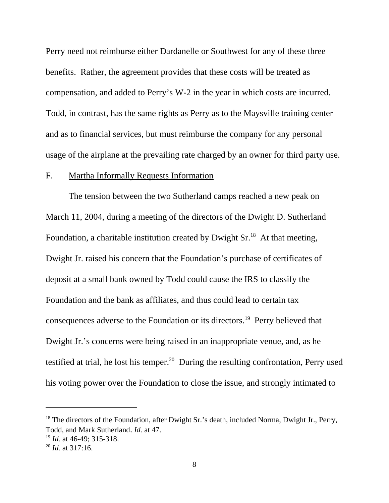Perry need not reimburse either Dardanelle or Southwest for any of these three benefits. Rather, the agreement provides that these costs will be treated as compensation, and added to Perry's W-2 in the year in which costs are incurred. Todd, in contrast, has the same rights as Perry as to the Maysville training center and as to financial services, but must reimburse the company for any personal usage of the airplane at the prevailing rate charged by an owner for third party use.

#### F. Martha Informally Requests Information

The tension between the two Sutherland camps reached a new peak on March 11, 2004, during a meeting of the directors of the Dwight D. Sutherland Foundation, a charitable institution created by Dwight  $Sr^{18}$ . At that meeting, Dwight Jr. raised his concern that the Foundation's purchase of certificates of deposit at a small bank owned by Todd could cause the IRS to classify the Foundation and the bank as affiliates, and thus could lead to certain tax consequences adverse to the Foundation or its directors.19 Perry believed that Dwight Jr.'s concerns were being raised in an inappropriate venue, and, as he testified at trial, he lost his temper.<sup>20</sup> During the resulting confrontation, Perry used his voting power over the Foundation to close the issue, and strongly intimated to

<sup>&</sup>lt;sup>18</sup> The directors of the Foundation, after Dwight Sr.'s death, included Norma, Dwight Jr., Perry, Todd, and Mark Sutherland. *Id.* at 47.

<sup>19</sup> *Id.* at 46-49; 315-318.

<sup>20</sup> *Id.* at 317:16.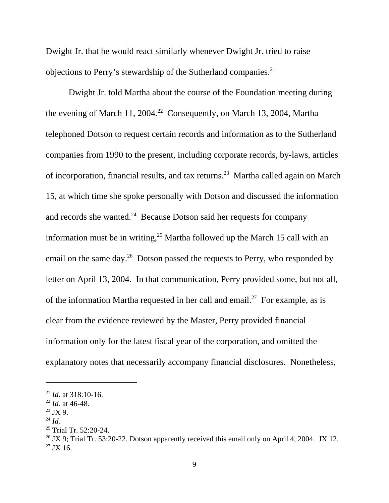Dwight Jr. that he would react similarly whenever Dwight Jr. tried to raise objections to Perry's stewardship of the Sutherland companies.<sup>21</sup>

Dwight Jr. told Martha about the course of the Foundation meeting during the evening of March 11, 2004.<sup>22</sup> Consequently, on March 13, 2004, Martha telephoned Dotson to request certain records and information as to the Sutherland companies from 1990 to the present, including corporate records, by-laws, articles of incorporation, financial results, and tax returns.23 Martha called again on March 15, at which time she spoke personally with Dotson and discussed the information and records she wanted.<sup>24</sup> Because Dotson said her requests for company information must be in writing,  $^{25}$  Martha followed up the March 15 call with an email on the same day.<sup>26</sup> Dotson passed the requests to Perry, who responded by letter on April 13, 2004. In that communication, Perry provided some, but not all, of the information Martha requested in her call and email.<sup>27</sup> For example, as is clear from the evidence reviewed by the Master, Perry provided financial information only for the latest fiscal year of the corporation, and omitted the explanatory notes that necessarily accompany financial disclosures. Nonetheless,

 $^{21}$  *Id.* at 318:10-16.

<sup>22</sup> *Id.* at 46-48.

 $23$  JX 9.

 $^{24}$  *Id.* 

<sup>&</sup>lt;sup>25</sup> Trial Tr. 52:20-24.

<sup>&</sup>lt;sup>26</sup> JX 9; Trial Tr. 53:20-22. Dotson apparently received this email only on April 4, 2004. JX 12.  $^{27}$  JX 16.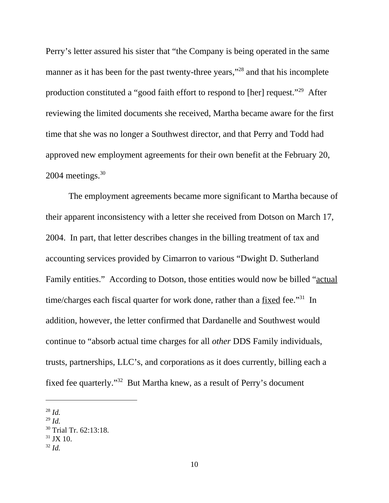Perry's letter assured his sister that "the Company is being operated in the same manner as it has been for the past twenty-three years,"<sup>28</sup> and that his incomplete production constituted a "good faith effort to respond to [her] request."29 After reviewing the limited documents she received, Martha became aware for the first time that she was no longer a Southwest director, and that Perry and Todd had approved new employment agreements for their own benefit at the February 20,  $2004$  meetings.  $30$ 

The employment agreements became more significant to Martha because of their apparent inconsistency with a letter she received from Dotson on March 17, 2004. In part, that letter describes changes in the billing treatment of tax and accounting services provided by Cimarron to various "Dwight D. Sutherland Family entities." According to Dotson, those entities would now be billed "actual" time/charges each fiscal quarter for work done, rather than a fixed fee."<sup>31</sup> In addition, however, the letter confirmed that Dardanelle and Southwest would continue to "absorb actual time charges for all *other* DDS Family individuals, trusts, partnerships, LLC's, and corporations as it does currently, billing each a fixed fee quarterly."32 But Martha knew, as a result of Perry's document

<sup>28</sup> *Id.*

<sup>29</sup> *Id.*

<sup>&</sup>lt;sup>30</sup> Trial Tr. 62:13:18.

 $31$  JX 10.

 $32$  *Id.*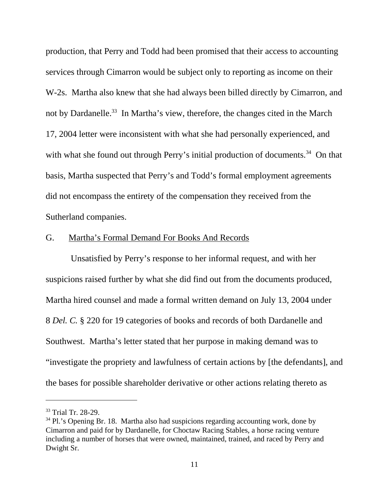production, that Perry and Todd had been promised that their access to accounting services through Cimarron would be subject only to reporting as income on their W-2s. Martha also knew that she had always been billed directly by Cimarron, and not by Dardanelle.<sup>33</sup> In Martha's view, therefore, the changes cited in the March 17, 2004 letter were inconsistent with what she had personally experienced, and with what she found out through Perry's initial production of documents.<sup>34</sup> On that basis, Martha suspected that Perry's and Todd's formal employment agreements did not encompass the entirety of the compensation they received from the Sutherland companies.

## G. Martha's Formal Demand For Books And Records

 Unsatisfied by Perry's response to her informal request, and with her suspicions raised further by what she did find out from the documents produced, Martha hired counsel and made a formal written demand on July 13, 2004 under 8 *Del. C.* § 220 for 19 categories of books and records of both Dardanelle and Southwest. Martha's letter stated that her purpose in making demand was to "investigate the propriety and lawfulness of certain actions by [the defendants], and the bases for possible shareholder derivative or other actions relating thereto as

<sup>33</sup> Trial Tr. 28-29.

 $34$  Pl.'s Opening Br. 18. Martha also had suspicions regarding accounting work, done by Cimarron and paid for by Dardanelle, for Choctaw Racing Stables, a horse racing venture including a number of horses that were owned, maintained, trained, and raced by Perry and Dwight Sr.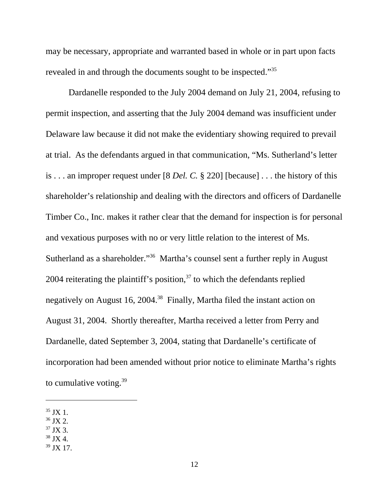may be necessary, appropriate and warranted based in whole or in part upon facts revealed in and through the documents sought to be inspected."35

Dardanelle responded to the July 2004 demand on July 21, 2004, refusing to permit inspection, and asserting that the July 2004 demand was insufficient under Delaware law because it did not make the evidentiary showing required to prevail at trial. As the defendants argued in that communication, "Ms. Sutherland's letter is . . . an improper request under [8 *Del. C.* § 220] [because] . . . the history of this shareholder's relationship and dealing with the directors and officers of Dardanelle Timber Co., Inc. makes it rather clear that the demand for inspection is for personal and vexatious purposes with no or very little relation to the interest of Ms. Sutherland as a shareholder."36 Martha's counsel sent a further reply in August 2004 reiterating the plaintiff's position, $37$  to which the defendants replied negatively on August 16, 2004.<sup>38</sup> Finally, Martha filed the instant action on August 31, 2004. Shortly thereafter, Martha received a letter from Perry and Dardanelle, dated September 3, 2004, stating that Dardanelle's certificate of incorporation had been amended without prior notice to eliminate Martha's rights to cumulative voting. $39$ 

- $36$  JX 2.
- $37$  JX 3.
- $38$  JX 4.

<sup>35</sup> JX 1.

<sup>39</sup> JX 17.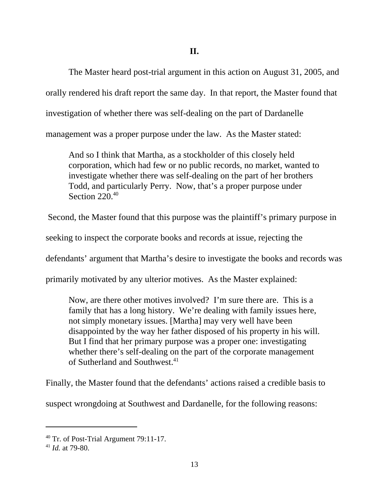The Master heard post-trial argument in this action on August 31, 2005, and orally rendered his draft report the same day. In that report, the Master found that investigation of whether there was self-dealing on the part of Dardanelle management was a proper purpose under the law. As the Master stated:

And so I think that Martha, as a stockholder of this closely held corporation, which had few or no public records, no market, wanted to investigate whether there was self-dealing on the part of her brothers Todd, and particularly Perry. Now, that's a proper purpose under Section 220.40

Second, the Master found that this purpose was the plaintiff's primary purpose in

seeking to inspect the corporate books and records at issue, rejecting the

defendants' argument that Martha's desire to investigate the books and records was

primarily motivated by any ulterior motives. As the Master explained:

Now, are there other motives involved? I'm sure there are. This is a family that has a long history. We're dealing with family issues here, not simply monetary issues. [Martha] may very well have been disappointed by the way her father disposed of his property in his will. But I find that her primary purpose was a proper one: investigating whether there's self-dealing on the part of the corporate management of Sutherland and Southwest.<sup>41</sup>

Finally, the Master found that the defendants' actions raised a credible basis to

suspect wrongdoing at Southwest and Dardanelle, for the following reasons:

<sup>40</sup> Tr. of Post-Trial Argument 79:11-17.

<sup>41</sup> *Id.* at 79-80.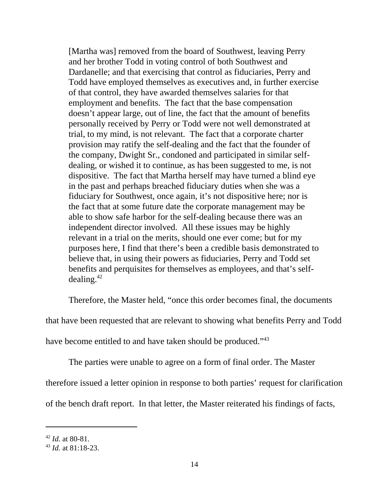[Martha was] removed from the board of Southwest, leaving Perry and her brother Todd in voting control of both Southwest and Dardanelle; and that exercising that control as fiduciaries, Perry and Todd have employed themselves as executives and, in further exercise of that control, they have awarded themselves salaries for that employment and benefits. The fact that the base compensation doesn't appear large, out of line, the fact that the amount of benefits personally received by Perry or Todd were not well demonstrated at trial, to my mind, is not relevant. The fact that a corporate charter provision may ratify the self-dealing and the fact that the founder of the company, Dwight Sr., condoned and participated in similar selfdealing, or wished it to continue, as has been suggested to me, is not dispositive. The fact that Martha herself may have turned a blind eye in the past and perhaps breached fiduciary duties when she was a fiduciary for Southwest, once again, it's not dispositive here; nor is the fact that at some future date the corporate management may be able to show safe harbor for the self-dealing because there was an independent director involved. All these issues may be highly relevant in a trial on the merits, should one ever come; but for my purposes here, I find that there's been a credible basis demonstrated to believe that, in using their powers as fiduciaries, Perry and Todd set benefits and perquisites for themselves as employees, and that's selfdealing. $42$ 

Therefore, the Master held, "once this order becomes final, the documents

that have been requested that are relevant to showing what benefits Perry and Todd

have become entitled to and have taken should be produced."<sup>43</sup>

The parties were unable to agree on a form of final order. The Master therefore issued a letter opinion in response to both parties' request for clarification of the bench draft report. In that letter, the Master reiterated his findings of facts,

<sup>42</sup> *Id.* at 80-81.

<sup>43</sup> *Id.* at 81:18-23.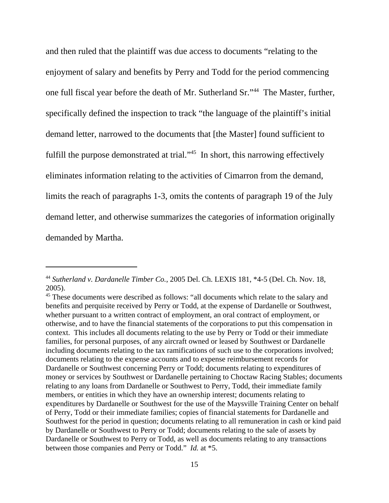and then ruled that the plaintiff was due access to documents "relating to the enjoyment of salary and benefits by Perry and Todd for the period commencing one full fiscal year before the death of Mr. Sutherland Sr."44 The Master, further, specifically defined the inspection to track "the language of the plaintiff's initial demand letter, narrowed to the documents that [the Master] found sufficient to fulfill the purpose demonstrated at trial."<sup>45</sup> In short, this narrowing effectively eliminates information relating to the activities of Cimarron from the demand, limits the reach of paragraphs 1-3, omits the contents of paragraph 19 of the July demand letter, and otherwise summarizes the categories of information originally demanded by Martha.

<sup>44</sup> *Sutherland v. Dardanelle Timber Co.*, 2005 Del. Ch. LEXIS 181, \*4-5 (Del. Ch. Nov. 18, 2005).

<sup>&</sup>lt;sup>45</sup> These documents were described as follows: "all documents which relate to the salary and benefits and perquisite received by Perry or Todd, at the expense of Dardanelle or Southwest, whether pursuant to a written contract of employment, an oral contract of employment, or otherwise, and to have the financial statements of the corporations to put this compensation in context. This includes all documents relating to the use by Perry or Todd or their immediate families, for personal purposes, of any aircraft owned or leased by Southwest or Dardanelle including documents relating to the tax ramifications of such use to the corporations involved; documents relating to the expense accounts and to expense reimbursement records for Dardanelle or Southwest concerning Perry or Todd; documents relating to expenditures of money or services by Southwest or Dardanelle pertaining to Choctaw Racing Stables; documents relating to any loans from Dardanelle or Southwest to Perry, Todd, their immediate family members, or entities in which they have an ownership interest; documents relating to expenditures by Dardanelle or Southwest for the use of the Maysville Training Center on behalf of Perry, Todd or their immediate families; copies of financial statements for Dardanelle and Southwest for the period in question; documents relating to all remuneration in cash or kind paid by Dardanelle or Southwest to Perry or Todd; documents relating to the sale of assets by Dardanelle or Southwest to Perry or Todd, as well as documents relating to any transactions between those companies and Perry or Todd." *Id.* at \*5.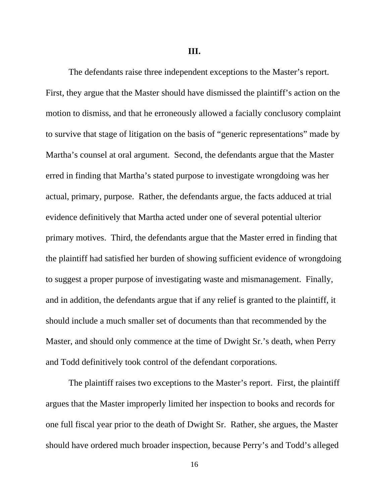**III.**

The defendants raise three independent exceptions to the Master's report. First, they argue that the Master should have dismissed the plaintiff's action on the motion to dismiss, and that he erroneously allowed a facially conclusory complaint to survive that stage of litigation on the basis of "generic representations" made by Martha's counsel at oral argument. Second, the defendants argue that the Master erred in finding that Martha's stated purpose to investigate wrongdoing was her actual, primary, purpose. Rather, the defendants argue, the facts adduced at trial evidence definitively that Martha acted under one of several potential ulterior primary motives. Third, the defendants argue that the Master erred in finding that the plaintiff had satisfied her burden of showing sufficient evidence of wrongdoing to suggest a proper purpose of investigating waste and mismanagement. Finally, and in addition, the defendants argue that if any relief is granted to the plaintiff, it should include a much smaller set of documents than that recommended by the Master, and should only commence at the time of Dwight Sr.'s death, when Perry and Todd definitively took control of the defendant corporations.

The plaintiff raises two exceptions to the Master's report. First, the plaintiff argues that the Master improperly limited her inspection to books and records for one full fiscal year prior to the death of Dwight Sr. Rather, she argues, the Master should have ordered much broader inspection, because Perry's and Todd's alleged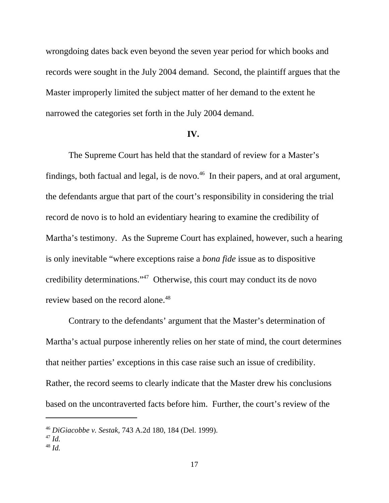wrongdoing dates back even beyond the seven year period for which books and records were sought in the July 2004 demand. Second, the plaintiff argues that the Master improperly limited the subject matter of her demand to the extent he narrowed the categories set forth in the July 2004 demand.

### **IV.**

The Supreme Court has held that the standard of review for a Master's findings, both factual and legal, is de novo.<sup>46</sup> In their papers, and at oral argument, the defendants argue that part of the court's responsibility in considering the trial record de novo is to hold an evidentiary hearing to examine the credibility of Martha's testimony. As the Supreme Court has explained, however, such a hearing is only inevitable "where exceptions raise a *bona fide* issue as to dispositive credibility determinations."47 Otherwise, this court may conduct its de novo review based on the record alone.<sup>48</sup>

Contrary to the defendants' argument that the Master's determination of Martha's actual purpose inherently relies on her state of mind, the court determines that neither parties' exceptions in this case raise such an issue of credibility. Rather, the record seems to clearly indicate that the Master drew his conclusions based on the uncontraverted facts before him. Further, the court's review of the

<sup>46</sup> *DiGiacobbe v. Sestak,* 743 A.2d 180, 184 (Del. 1999).

<sup>47</sup> *Id.*

<sup>48</sup> *Id.*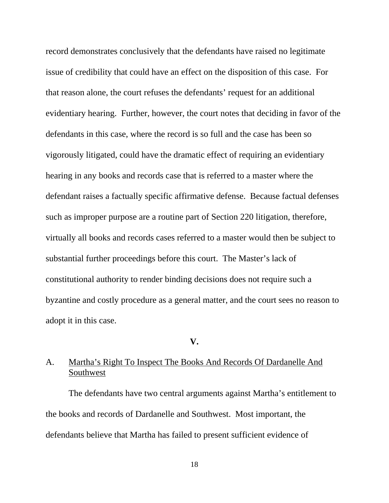record demonstrates conclusively that the defendants have raised no legitimate issue of credibility that could have an effect on the disposition of this case. For that reason alone, the court refuses the defendants' request for an additional evidentiary hearing. Further, however, the court notes that deciding in favor of the defendants in this case, where the record is so full and the case has been so vigorously litigated, could have the dramatic effect of requiring an evidentiary hearing in any books and records case that is referred to a master where the defendant raises a factually specific affirmative defense. Because factual defenses such as improper purpose are a routine part of Section 220 litigation, therefore, virtually all books and records cases referred to a master would then be subject to substantial further proceedings before this court. The Master's lack of constitutional authority to render binding decisions does not require such a byzantine and costly procedure as a general matter, and the court sees no reason to adopt it in this case.

#### **V.**

# A. Martha's Right To Inspect The Books And Records Of Dardanelle And Southwest

The defendants have two central arguments against Martha's entitlement to the books and records of Dardanelle and Southwest. Most important, the defendants believe that Martha has failed to present sufficient evidence of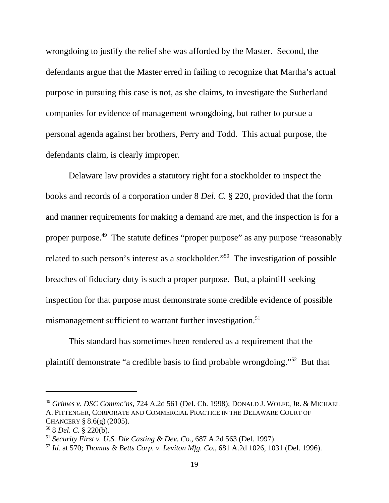wrongdoing to justify the relief she was afforded by the Master. Second, the defendants argue that the Master erred in failing to recognize that Martha's actual purpose in pursuing this case is not, as she claims, to investigate the Sutherland companies for evidence of management wrongdoing, but rather to pursue a personal agenda against her brothers, Perry and Todd. This actual purpose, the defendants claim, is clearly improper.

Delaware law provides a statutory right for a stockholder to inspect the books and records of a corporation under 8 *Del. C.* § 220, provided that the form and manner requirements for making a demand are met, and the inspection is for a proper purpose.49 The statute defines "proper purpose" as any purpose "reasonably related to such person's interest as a stockholder."50 The investigation of possible breaches of fiduciary duty is such a proper purpose. But, a plaintiff seeking inspection for that purpose must demonstrate some credible evidence of possible mismanagement sufficient to warrant further investigation.<sup>51</sup>

This standard has sometimes been rendered as a requirement that the plaintiff demonstrate "a credible basis to find probable wrongdoing."52 But that

<sup>49</sup> *Grimes v. DSC Commc'ns*, 724 A.2d 561 (Del. Ch. 1998); DONALD J. WOLFE, JR. & MICHAEL A. PITTENGER, CORPORATE AND COMMERCIAL PRACTICE IN THE DELAWARE COURT OF CHANCERY  $§ 8.6(g) (2005)$ .

<sup>50 8</sup> *Del. C.* § 220(b).

<sup>51</sup> *Security First v. U.S. Die Casting & Dev. Co.,* 687 A.2d 563 (Del. 1997).

<sup>52</sup> *Id.* at 570; *Thomas & Betts Corp. v. Leviton Mfg. Co.*, 681 A.2d 1026, 1031 (Del. 1996).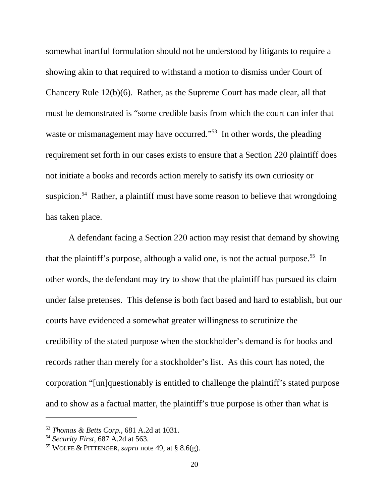somewhat inartful formulation should not be understood by litigants to require a showing akin to that required to withstand a motion to dismiss under Court of Chancery Rule 12(b)(6). Rather, as the Supreme Court has made clear, all that must be demonstrated is "some credible basis from which the court can infer that waste or mismanagement may have occurred."<sup>53</sup> In other words, the pleading requirement set forth in our cases exists to ensure that a Section 220 plaintiff does not initiate a books and records action merely to satisfy its own curiosity or suspicion.<sup>54</sup> Rather, a plaintiff must have some reason to believe that wrongdoing has taken place.

A defendant facing a Section 220 action may resist that demand by showing that the plaintiff's purpose, although a valid one, is not the actual purpose.<sup>55</sup> In other words, the defendant may try to show that the plaintiff has pursued its claim under false pretenses. This defense is both fact based and hard to establish, but our courts have evidenced a somewhat greater willingness to scrutinize the credibility of the stated purpose when the stockholder's demand is for books and records rather than merely for a stockholder's list. As this court has noted, the corporation "[un]questionably is entitled to challenge the plaintiff's stated purpose and to show as a factual matter, the plaintiff's true purpose is other than what is

<sup>53</sup> *Thomas & Betts Corp.,* 681 A.2d at 1031.

<sup>54</sup> *Security First*, 687 A.2d at 563.

<sup>55</sup> WOLFE & PITTENGER, *supra* note 49, at § 8.6(g).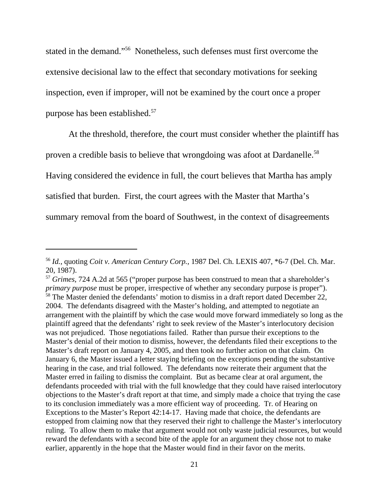stated in the demand."56 Nonetheless, such defenses must first overcome the extensive decisional law to the effect that secondary motivations for seeking inspection, even if improper, will not be examined by the court once a proper purpose has been established.<sup>57</sup>

At the threshold, therefore, the court must consider whether the plaintiff has proven a credible basis to believe that wrongdoing was afoot at Dardanelle.<sup>58</sup> Having considered the evidence in full, the court believes that Martha has amply satisfied that burden. First, the court agrees with the Master that Martha's summary removal from the board of Southwest, in the context of disagreements

<sup>56</sup> *Id.*, quoting *Coit v. American Century Corp.,* 1987 Del. Ch. LEXIS 407, \*6-7 (Del. Ch. Mar. 20, 1987).

<sup>57</sup> *Grimes*, 724 A.2d at 565 ("proper purpose has been construed to mean that a shareholder's *primary purpose* must be proper, irrespective of whether any secondary purpose is proper"). <sup>58</sup> The Master denied the defendants' motion to dismiss in a draft report dated December 22, 2004. The defendants disagreed with the Master's holding, and attempted to negotiate an arrangement with the plaintiff by which the case would move forward immediately so long as the plaintiff agreed that the defendants' right to seek review of the Master's interlocutory decision was not prejudiced. Those negotiations failed. Rather than pursue their exceptions to the Master's denial of their motion to dismiss, however, the defendants filed their exceptions to the Master's draft report on January 4, 2005, and then took no further action on that claim. On January 6, the Master issued a letter staying briefing on the exceptions pending the substantive hearing in the case, and trial followed. The defendants now reiterate their argument that the Master erred in failing to dismiss the complaint. But as became clear at oral argument, the defendants proceeded with trial with the full knowledge that they could have raised interlocutory objections to the Master's draft report at that time, and simply made a choice that trying the case to its conclusion immediately was a more efficient way of proceeding. Tr. of Hearing on Exceptions to the Master's Report 42:14-17. Having made that choice, the defendants are estopped from claiming now that they reserved their right to challenge the Master's interlocutory ruling. To allow them to make that argument would not only waste judicial resources, but would reward the defendants with a second bite of the apple for an argument they chose not to make earlier, apparently in the hope that the Master would find in their favor on the merits.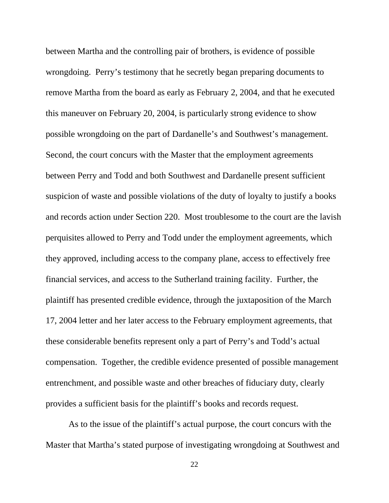between Martha and the controlling pair of brothers, is evidence of possible wrongdoing. Perry's testimony that he secretly began preparing documents to remove Martha from the board as early as February 2, 2004, and that he executed this maneuver on February 20, 2004, is particularly strong evidence to show possible wrongdoing on the part of Dardanelle's and Southwest's management. Second, the court concurs with the Master that the employment agreements between Perry and Todd and both Southwest and Dardanelle present sufficient suspicion of waste and possible violations of the duty of loyalty to justify a books and records action under Section 220. Most troublesome to the court are the lavish perquisites allowed to Perry and Todd under the employment agreements, which they approved, including access to the company plane, access to effectively free financial services, and access to the Sutherland training facility. Further, the plaintiff has presented credible evidence, through the juxtaposition of the March 17, 2004 letter and her later access to the February employment agreements, that these considerable benefits represent only a part of Perry's and Todd's actual compensation. Together, the credible evidence presented of possible management entrenchment, and possible waste and other breaches of fiduciary duty, clearly provides a sufficient basis for the plaintiff's books and records request.

As to the issue of the plaintiff's actual purpose, the court concurs with the Master that Martha's stated purpose of investigating wrongdoing at Southwest and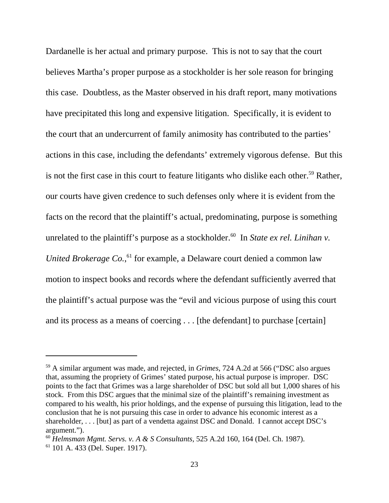Dardanelle is her actual and primary purpose. This is not to say that the court believes Martha's proper purpose as a stockholder is her sole reason for bringing this case. Doubtless, as the Master observed in his draft report, many motivations have precipitated this long and expensive litigation. Specifically, it is evident to the court that an undercurrent of family animosity has contributed to the parties' actions in this case, including the defendants' extremely vigorous defense. But this is not the first case in this court to feature litigants who dislike each other.<sup>59</sup> Rather, our courts have given credence to such defenses only where it is evident from the facts on the record that the plaintiff's actual, predominating, purpose is something unrelated to the plaintiff's purpose as a stockholder.<sup>60</sup> In *State ex rel. Linihan v.* United Brokerage Co.,<sup>61</sup> for example, a Delaware court denied a common law motion to inspect books and records where the defendant sufficiently averred that the plaintiff's actual purpose was the "evil and vicious purpose of using this court and its process as a means of coercing . . . [the defendant] to purchase [certain]

<sup>59</sup> A similar argument was made, and rejected, in *Grimes*, 724 A.2d at 566 ("DSC also argues that, assuming the propriety of Grimes' stated purpose, his actual purpose is improper. DSC points to the fact that Grimes was a large shareholder of DSC but sold all but 1,000 shares of his stock. From this DSC argues that the minimal size of the plaintiff's remaining investment as compared to his wealth, his prior holdings, and the expense of pursuing this litigation, lead to the conclusion that he is not pursuing this case in order to advance his economic interest as a shareholder, . . . [but] as part of a vendetta against DSC and Donald. I cannot accept DSC's argument.").

<sup>60</sup> *Helmsman Mgmt. Servs. v. A & S Consultants,* 525 A.2d 160, 164 (Del. Ch. 1987). 61 101 A. 433 (Del. Super. 1917).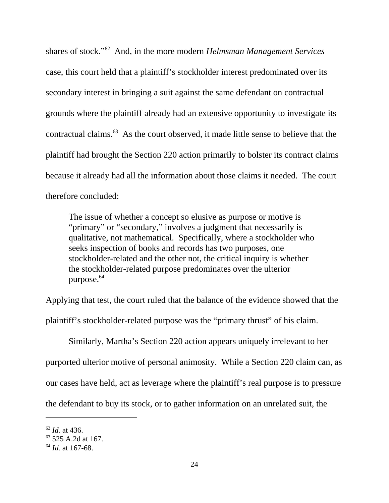shares of stock."62 And, in the more modern *Helmsman Management Services* case, this court held that a plaintiff's stockholder interest predominated over its secondary interest in bringing a suit against the same defendant on contractual grounds where the plaintiff already had an extensive opportunity to investigate its contractual claims.63 As the court observed, it made little sense to believe that the plaintiff had brought the Section 220 action primarily to bolster its contract claims because it already had all the information about those claims it needed. The court therefore concluded:

The issue of whether a concept so elusive as purpose or motive is "primary" or "secondary," involves a judgment that necessarily is qualitative, not mathematical. Specifically, where a stockholder who seeks inspection of books and records has two purposes, one stockholder-related and the other not, the critical inquiry is whether the stockholder-related purpose predominates over the ulterior purpose. $64$ 

Applying that test, the court ruled that the balance of the evidence showed that the plaintiff's stockholder-related purpose was the "primary thrust" of his claim.

Similarly, Martha's Section 220 action appears uniquely irrelevant to her purported ulterior motive of personal animosity. While a Section 220 claim can, as our cases have held, act as leverage where the plaintiff's real purpose is to pressure the defendant to buy its stock, or to gather information on an unrelated suit, the

<sup>62</sup> *Id.* at 436.

<sup>&</sup>lt;sup>63</sup> 525 A.2d at 167.

<sup>64</sup> *Id.* at 167-68.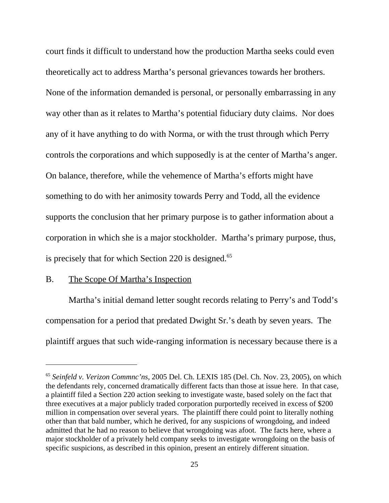court finds it difficult to understand how the production Martha seeks could even theoretically act to address Martha's personal grievances towards her brothers. None of the information demanded is personal, or personally embarrassing in any way other than as it relates to Martha's potential fiduciary duty claims. Nor does any of it have anything to do with Norma, or with the trust through which Perry controls the corporations and which supposedly is at the center of Martha's anger. On balance, therefore, while the vehemence of Martha's efforts might have something to do with her animosity towards Perry and Todd, all the evidence supports the conclusion that her primary purpose is to gather information about a corporation in which she is a major stockholder. Martha's primary purpose, thus, is precisely that for which Section  $220$  is designed.<sup>65</sup>

## B. The Scope Of Martha's Inspection

Martha's initial demand letter sought records relating to Perry's and Todd's compensation for a period that predated Dwight Sr.'s death by seven years. The plaintiff argues that such wide-ranging information is necessary because there is a

<sup>65</sup> *Seinfeld v. Verizon Commnc'ns*, 2005 Del. Ch. LEXIS 185 (Del. Ch. Nov. 23, 2005), on which the defendants rely, concerned dramatically different facts than those at issue here. In that case, a plaintiff filed a Section 220 action seeking to investigate waste, based solely on the fact that three executives at a major publicly traded corporation purportedly received in excess of \$200 million in compensation over several years. The plaintiff there could point to literally nothing other than that bald number, which he derived, for any suspicions of wrongdoing, and indeed admitted that he had no reason to believe that wrongdoing was afoot. The facts here, where a major stockholder of a privately held company seeks to investigate wrongdoing on the basis of specific suspicions, as described in this opinion, present an entirely different situation.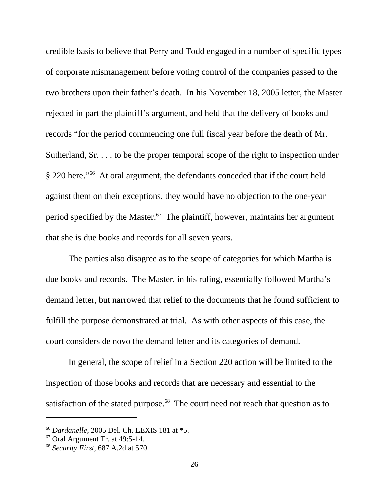credible basis to believe that Perry and Todd engaged in a number of specific types of corporate mismanagement before voting control of the companies passed to the two brothers upon their father's death. In his November 18, 2005 letter, the Master rejected in part the plaintiff's argument, and held that the delivery of books and records "for the period commencing one full fiscal year before the death of Mr. Sutherland, Sr. . . . to be the proper temporal scope of the right to inspection under § 220 here."66 At oral argument, the defendants conceded that if the court held against them on their exceptions, they would have no objection to the one-year period specified by the Master. $67$  The plaintiff, however, maintains her argument that she is due books and records for all seven years.

The parties also disagree as to the scope of categories for which Martha is due books and records. The Master, in his ruling, essentially followed Martha's demand letter, but narrowed that relief to the documents that he found sufficient to fulfill the purpose demonstrated at trial. As with other aspects of this case, the court considers de novo the demand letter and its categories of demand.

In general, the scope of relief in a Section 220 action will be limited to the inspection of those books and records that are necessary and essential to the satisfaction of the stated purpose.<sup>68</sup> The court need not reach that question as to

<sup>66</sup> *Dardanelle*, 2005 Del. Ch. LEXIS 181 at \*5.

 $67$  Oral Argument Tr. at 49:5-14.

<sup>68</sup> *Security First*, 687 A.2d at 570.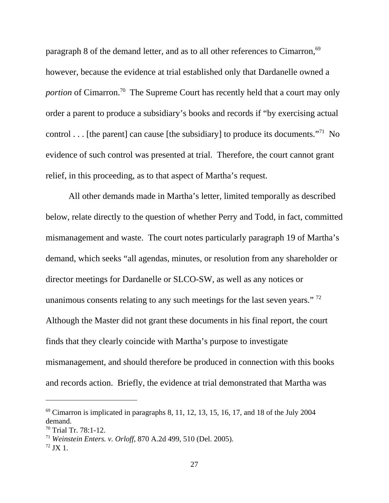paragraph 8 of the demand letter, and as to all other references to Cimarron,<sup>69</sup> however, because the evidence at trial established only that Dardanelle owned a *portion* of Cimarron.<sup>70</sup> The Supreme Court has recently held that a court may only order a parent to produce a subsidiary's books and records if "by exercising actual control . . . [the parent] can cause [the subsidiary] to produce its documents."<sup>71</sup> No evidence of such control was presented at trial. Therefore, the court cannot grant relief, in this proceeding, as to that aspect of Martha's request.

All other demands made in Martha's letter, limited temporally as described below, relate directly to the question of whether Perry and Todd, in fact, committed mismanagement and waste. The court notes particularly paragraph 19 of Martha's demand, which seeks "all agendas, minutes, or resolution from any shareholder or director meetings for Dardanelle or SLCO-SW, as well as any notices or unanimous consents relating to any such meetings for the last seven years."<sup>72</sup> Although the Master did not grant these documents in his final report, the court finds that they clearly coincide with Martha's purpose to investigate mismanagement, and should therefore be produced in connection with this books and records action. Briefly, the evidence at trial demonstrated that Martha was

 $69$  Cimarron is implicated in paragraphs 8, 11, 12, 13, 15, 16, 17, and 18 of the July 2004 demand.

<sup>70</sup> Trial Tr. 78:1-12.

<sup>71</sup> *Weinstein Enters. v. Orloff*, 870 A.2d 499, 510 (Del. 2005).

 $72$  JX 1.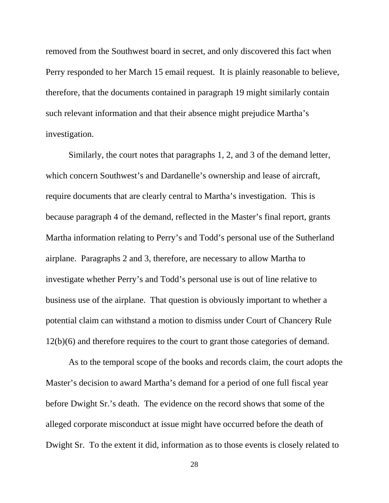removed from the Southwest board in secret, and only discovered this fact when Perry responded to her March 15 email request. It is plainly reasonable to believe, therefore, that the documents contained in paragraph 19 might similarly contain such relevant information and that their absence might prejudice Martha's investigation.

Similarly, the court notes that paragraphs 1, 2, and 3 of the demand letter, which concern Southwest's and Dardanelle's ownership and lease of aircraft, require documents that are clearly central to Martha's investigation. This is because paragraph 4 of the demand, reflected in the Master's final report, grants Martha information relating to Perry's and Todd's personal use of the Sutherland airplane. Paragraphs 2 and 3, therefore, are necessary to allow Martha to investigate whether Perry's and Todd's personal use is out of line relative to business use of the airplane. That question is obviously important to whether a potential claim can withstand a motion to dismiss under Court of Chancery Rule 12(b)(6) and therefore requires to the court to grant those categories of demand.

As to the temporal scope of the books and records claim, the court adopts the Master's decision to award Martha's demand for a period of one full fiscal year before Dwight Sr.'s death. The evidence on the record shows that some of the alleged corporate misconduct at issue might have occurred before the death of Dwight Sr. To the extent it did, information as to those events is closely related to